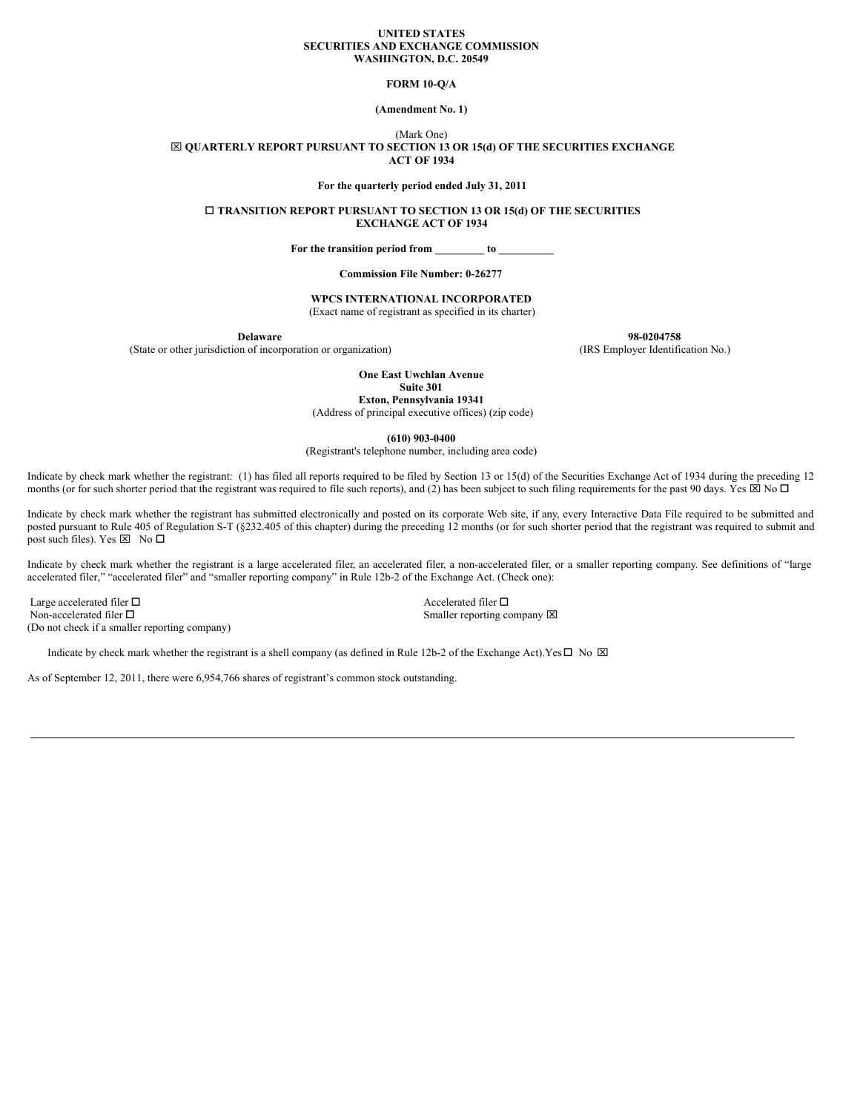### **UNITED STATES SECURITIES AND EXCHANGE COMMISSION WASHINGTON, D.C. 20549**

## **FORM 10-Q/A**

#### **(Amendment No. 1)**

### (Mark One) x **QUARTERLY REPORT PURSUANT TO SECTION 13 OR 15(d) OF THE SECURITIES EXCHANGE ACT OF 1934**

**For the quarterly period ended July 31, 2011**

o **TRANSITION REPORT PURSUANT TO SECTION 13 OR 15(d) OF THE SECURITIES EXCHANGE ACT OF 1934**

**For the transition period from \_\_\_\_\_\_\_\_\_ to \_\_\_\_\_\_\_\_\_\_**

## **Commission File Number: 0-26277**

# **WPCS INTERNATIONAL INCORPORATED**

(Exact name of registrant as specified in its charter)

**Delaware 98-0204758** (State or other jurisdiction of incorporation or organization) (IRS Employer Identification No.)

> **One East Uwchlan Avenue Suite 301**

**Exton, Pennsylvania 19341** (Address of principal executive offices) (zip code)

**(610) 903-0400**

(Registrant's telephone number, including area code)

Indicate by check mark whether the registrant: (1) has filed all reports required to be filed by Section 13 or 15(d) of the Securities Exchange Act of 1934 during the preceding 12 months (or for such shorter period that the registrant was required to file such reports), and (2) has been subject to such filing requirements for the past 90 days. Yes  $\boxtimes$  No  $\Box$ 

Indicate by check mark whether the registrant has submitted electronically and posted on its corporate Web site, if any, every Interactive Data File required to be submitted and posted pursuant to Rule 405 of Regulation S-T (§232.405 of this chapter) during the preceding 12 months (or for such shorter period that the registrant was required to submit and post such files). Yes  $\boxtimes$  No  $\square$ 

Indicate by check mark whether the registrant is a large accelerated filer, an accelerated filer, a non-accelerated filer, or a smaller reporting company. See definitions of "large accelerated filer," "accelerated filer" and "smaller reporting company" in Rule 12b-2 of the Exchange Act. (Check one):

Large accelerated filer  $\Box$  Accelerated filer  $\Box$ Non-accelerated filer  $\square$  Smaller reporting company  $\square$ (Do not check if a smaller reporting company)

Indicate by check mark whether the registrant is a shell company (as defined in Rule 12b-2 of the Exchange Act).Yes $\square$  No  $\square$ 

As of September 12, 2011, there were 6,954,766 shares of registrant's common stock outstanding.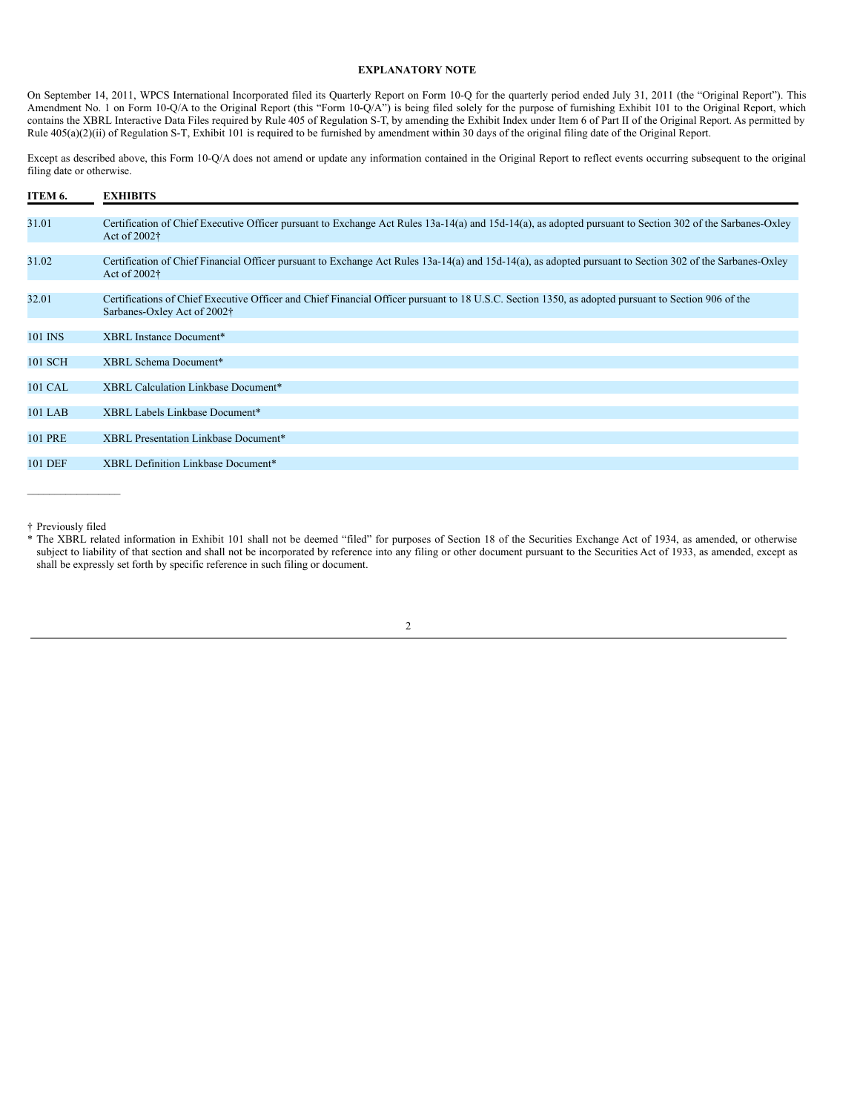## **EXPLANATORY NOTE**

On September 14, 2011, WPCS International Incorporated filed its Quarterly Report on Form 10-Q for the quarterly period ended July 31, 2011 (the "Original Report"). This Amendment No. 1 on Form 10-Q/A to the Original Report (this "Form 10-Q/A") is being filed solely for the purpose of furnishing Exhibit 101 to the Original Report, which contains the XBRL Interactive Data Files required by Rule 405 of Regulation S-T, by amending the Exhibit Index under Item 6 of Part II of the Original Report. As permitted by Rule 405(a)(2)(ii) of Regulation S-T, Exhibit 101 is required to be furnished by amendment within 30 days of the original filing date of the Original Report.

Except as described above, this Form 10-Q/A does not amend or update any information contained in the Original Report to reflect events occurring subsequent to the original filing date or otherwise.

| ITEM 6.        | <b>EXHIBITS</b>                                                                                                                                                                    |
|----------------|------------------------------------------------------------------------------------------------------------------------------------------------------------------------------------|
| 31.01          | Certification of Chief Executive Officer pursuant to Exchange Act Rules 13a-14(a) and 15d-14(a), as adopted pursuant to Section 302 of the Sarbanes-Oxley<br>Act of $2002+$        |
| 31.02          | Certification of Chief Financial Officer pursuant to Exchange Act Rules 13a-14(a) and 15d-14(a), as adopted pursuant to Section 302 of the Sarbanes-Oxley<br>Act of $2002+$        |
| 32.01          | Certifications of Chief Executive Officer and Chief Financial Officer pursuant to 18 U.S.C. Section 1350, as adopted pursuant to Section 906 of the<br>Sarbanes-Oxley Act of 2002† |
| 101 INS        | XBRL Instance Document*                                                                                                                                                            |
| 101 SCH        | XBRL Schema Document*                                                                                                                                                              |
| 101 CAL        | XBRL Calculation Linkbase Document*                                                                                                                                                |
| 101 LAB        | XBRL Labels Linkbase Document*                                                                                                                                                     |
| <b>101 PRE</b> | XBRL Presentation Linkbase Document*                                                                                                                                               |
| 101 DEF        | XBRL Definition Linkbase Document*                                                                                                                                                 |

<sup>†</sup> Previously filed

 $\mathcal{L}_\text{max}$  and  $\mathcal{L}_\text{max}$ 

<sup>\*</sup> The XBRL related information in Exhibit 101 shall not be deemed "filed" for purposes of Section 18 of the Securities Exchange Act of 1934, as amended, or otherwise subject to liability of that section and shall not be incorporated by reference into any filing or other document pursuant to the Securities Act of 1933, as amended, except as shall be expressly set forth by specific reference in such filing or document.

<sup>2</sup>